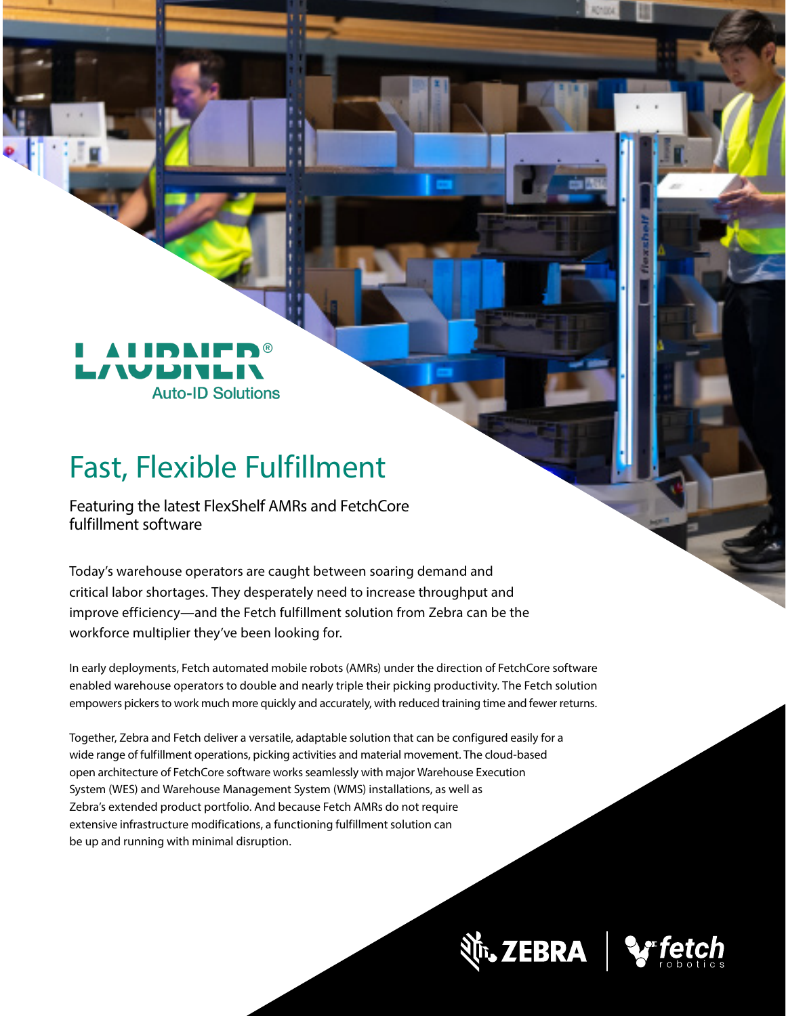

# Fast, Flexible Fulfillment

Featuring the latest FlexShelf AMRs and FetchCore fulfillment software

Today's warehouse operators are caught between soaring demand and critical labor shortages. They desperately need to increase throughput and improve efficiency—and the Fetch fulfillment solution from Zebra can be the workforce multiplier they've been looking for.

In early deployments, Fetch automated mobile robots (AMRs) under the direction of FetchCore software enabled warehouse operators to double and nearly triple their picking productivity. The Fetch solution empowers pickers to work much more quickly and accurately, with reduced training time and fewer returns.

Together, Zebra and Fetch deliver a versatile, adaptable solution that can be configured easily for a wide range of fulfillment operations, picking activities and material movement. The cloud-based open architecture of FetchCore software works seamlessly with major Warehouse Execution System (WES) and Warehouse Management System (WMS) installations, as well as Zebra's extended product portfolio. And because Fetch AMRs do not require extensive infrastructure modifications, a functioning fulfillment solution can be up and running with minimal disruption.

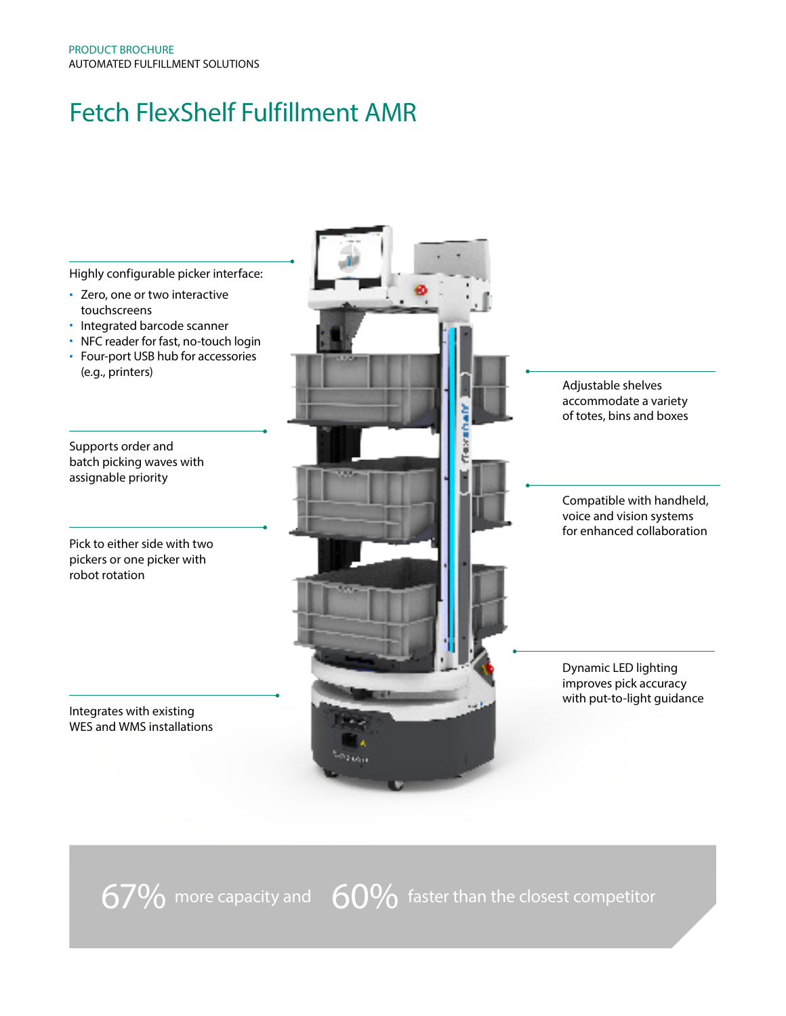#### Fetch FlexShelf Fulfillment AMR



 $67\%$  more capacity and  $60\%$  faster than the closest competitor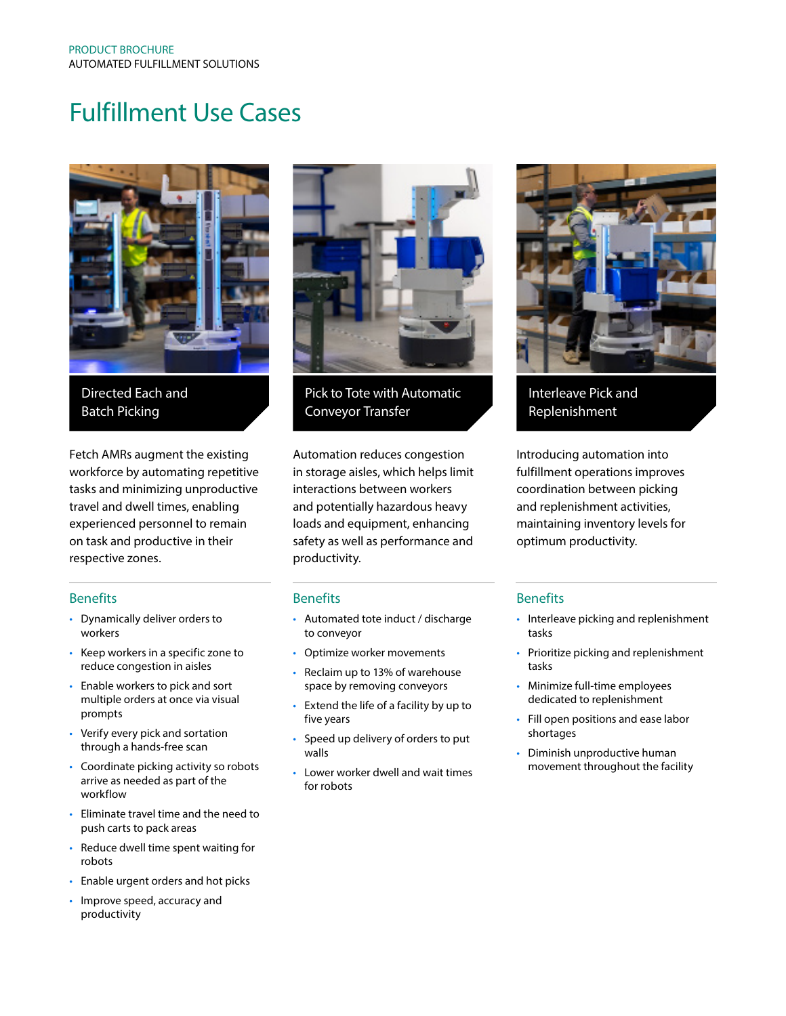#### Fulfillment Use Cases



Directed Each and Batch Picking

Fetch AMRs augment the existing workforce by automating repetitive tasks and minimizing unproductive travel and dwell times, enabling experienced personnel to remain on task and productive in their respective zones.

#### Benefits

- Dynamically deliver orders to workers
- Keep workers in a specific zone to reduce congestion in aisles
- Enable workers to pick and sort multiple orders at once via visual prompts
- Verify every pick and sortation through a hands-free scan
- Coordinate picking activity so robots arrive as needed as part of the workflow
- Eliminate travel time and the need to push carts to pack areas
- Reduce dwell time spent waiting for robots
- Enable urgent orders and hot picks
- Improve speed, accuracy and productivity



Pick to Tote with Automatic Conveyor Transfer

Automation reduces congestion in storage aisles, which helps limit interactions between workers and potentially hazardous heavy loads and equipment, enhancing safety as well as performance and productivity.

#### **Benefits**

- Automated tote induct / discharge to conveyor
- Optimize worker movements
- Reclaim up to 13% of warehouse space by removing conveyors
- Extend the life of a facility by up to five years
- Speed up delivery of orders to put walls
- Lower worker dwell and wait times for robots



Interleave Pick and Replenishment

Introducing automation into fulfillment operations improves coordination between picking and replenishment activities, maintaining inventory levels for optimum productivity.

#### **Benefits**

- Interleave picking and replenishment tasks
- Prioritize picking and replenishment tasks
- Minimize full-time employees dedicated to replenishment
- Fill open positions and ease labor shortages
- Diminish unproductive human movement throughout the facility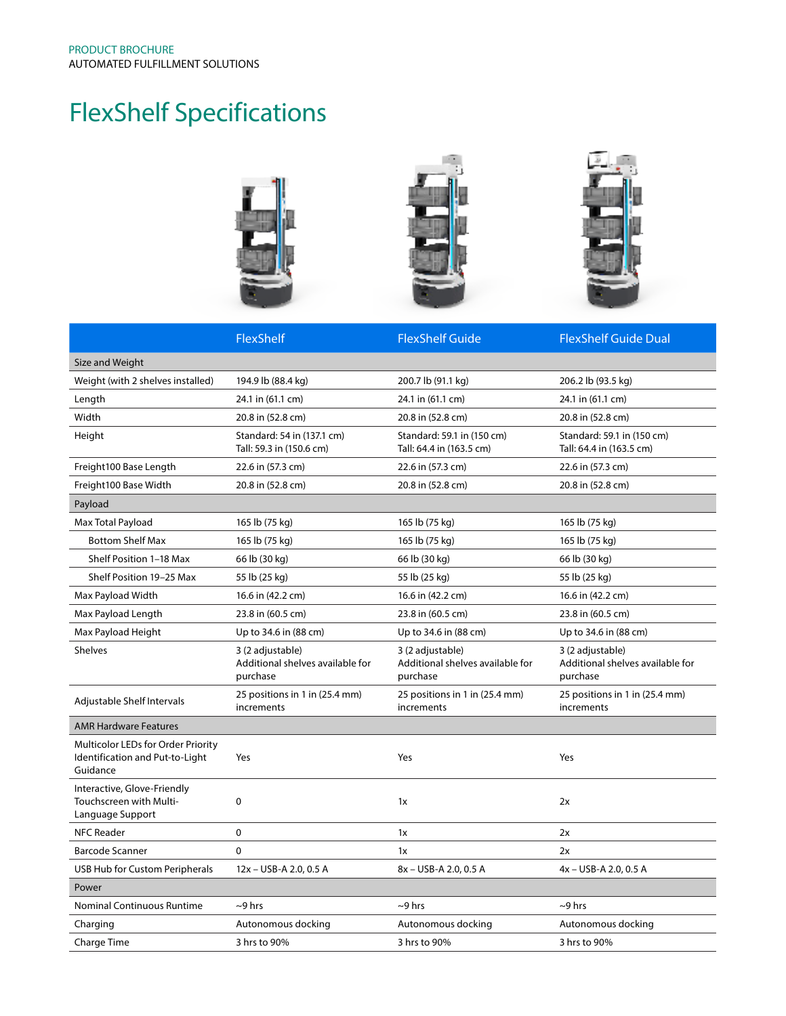## FlexShelf Specifications



|                                                                                   | FlexShelf                                                        | <b>FlexShelf Guide</b>                                           | <b>FlexShelf Guide Dual</b>                                      |
|-----------------------------------------------------------------------------------|------------------------------------------------------------------|------------------------------------------------------------------|------------------------------------------------------------------|
| Size and Weight                                                                   |                                                                  |                                                                  |                                                                  |
| Weight (with 2 shelves installed)                                                 | 194.9 lb (88.4 kg)                                               | 200.7 lb (91.1 kg)                                               | 206.2 lb (93.5 kg)                                               |
| Length                                                                            | 24.1 in (61.1 cm)                                                | 24.1 in (61.1 cm)                                                | 24.1 in (61.1 cm)                                                |
| Width                                                                             | 20.8 in (52.8 cm)                                                | 20.8 in (52.8 cm)                                                | 20.8 in (52.8 cm)                                                |
| Height                                                                            | Standard: 54 in (137.1 cm)<br>Tall: 59.3 in (150.6 cm)           | Standard: 59.1 in (150 cm)<br>Tall: 64.4 in (163.5 cm)           | Standard: 59.1 in (150 cm)<br>Tall: 64.4 in (163.5 cm)           |
| Freight100 Base Length                                                            | 22.6 in (57.3 cm)                                                | 22.6 in (57.3 cm)                                                | 22.6 in (57.3 cm)                                                |
| Freight100 Base Width                                                             | 20.8 in (52.8 cm)                                                | 20.8 in (52.8 cm)                                                | 20.8 in (52.8 cm)                                                |
| Payload                                                                           |                                                                  |                                                                  |                                                                  |
| Max Total Payload                                                                 | 165 lb (75 kg)                                                   | 165 lb (75 kg)                                                   | 165 lb (75 kg)                                                   |
| <b>Bottom Shelf Max</b>                                                           | 165 lb (75 kg)                                                   | 165 lb (75 kg)                                                   | 165 lb (75 kg)                                                   |
| Shelf Position 1-18 Max                                                           | 66 lb (30 kg)                                                    | 66 lb (30 kg)                                                    | 66 lb (30 kg)                                                    |
| Shelf Position 19-25 Max                                                          | 55 lb (25 kg)                                                    | 55 lb (25 kg)                                                    | 55 lb (25 kg)                                                    |
| Max Payload Width                                                                 | 16.6 in (42.2 cm)                                                | 16.6 in (42.2 cm)                                                | 16.6 in (42.2 cm)                                                |
| Max Payload Length                                                                | 23.8 in (60.5 cm)                                                | 23.8 in (60.5 cm)                                                | 23.8 in (60.5 cm)                                                |
| Max Payload Height                                                                | Up to 34.6 in (88 cm)                                            | Up to 34.6 in (88 cm)                                            | Up to 34.6 in (88 cm)                                            |
| <b>Shelves</b>                                                                    | 3 (2 adjustable)<br>Additional shelves available for<br>purchase | 3 (2 adjustable)<br>Additional shelves available for<br>purchase | 3 (2 adjustable)<br>Additional shelves available for<br>purchase |
| Adjustable Shelf Intervals                                                        | 25 positions in 1 in (25.4 mm)<br>increments                     | 25 positions in 1 in (25.4 mm)<br>increments                     | 25 positions in 1 in (25.4 mm)<br>increments                     |
| <b>AMR Hardware Features</b>                                                      |                                                                  |                                                                  |                                                                  |
| Multicolor LEDs for Order Priority<br>Identification and Put-to-Light<br>Guidance | Yes                                                              | Yes                                                              | Yes                                                              |
| Interactive, Glove-Friendly<br>Touchscreen with Multi-<br>Language Support        | 0                                                                | 1x                                                               | 2x                                                               |
| <b>NFC Reader</b>                                                                 | 0                                                                | 1x                                                               | 2x                                                               |
| Barcode Scanner                                                                   | 0                                                                | 1x                                                               | 2x                                                               |
| USB Hub for Custom Peripherals                                                    | 12x - USB-A 2.0, 0.5 A                                           | 8x - USB-A 2.0, 0.5 A                                            | 4x - USB-A 2.0, 0.5 A                                            |
| Power                                                                             |                                                                  |                                                                  |                                                                  |
| <b>Nominal Continuous Runtime</b>                                                 | $\sim$ 9 hrs                                                     | $\sim$ 9 hrs                                                     | $\sim$ 9 hrs                                                     |
| Charging                                                                          | Autonomous docking                                               | Autonomous docking                                               | Autonomous docking                                               |
| Charge Time                                                                       | 3 hrs to 90%                                                     | 3 hrs to 90%                                                     | 3 hrs to 90%                                                     |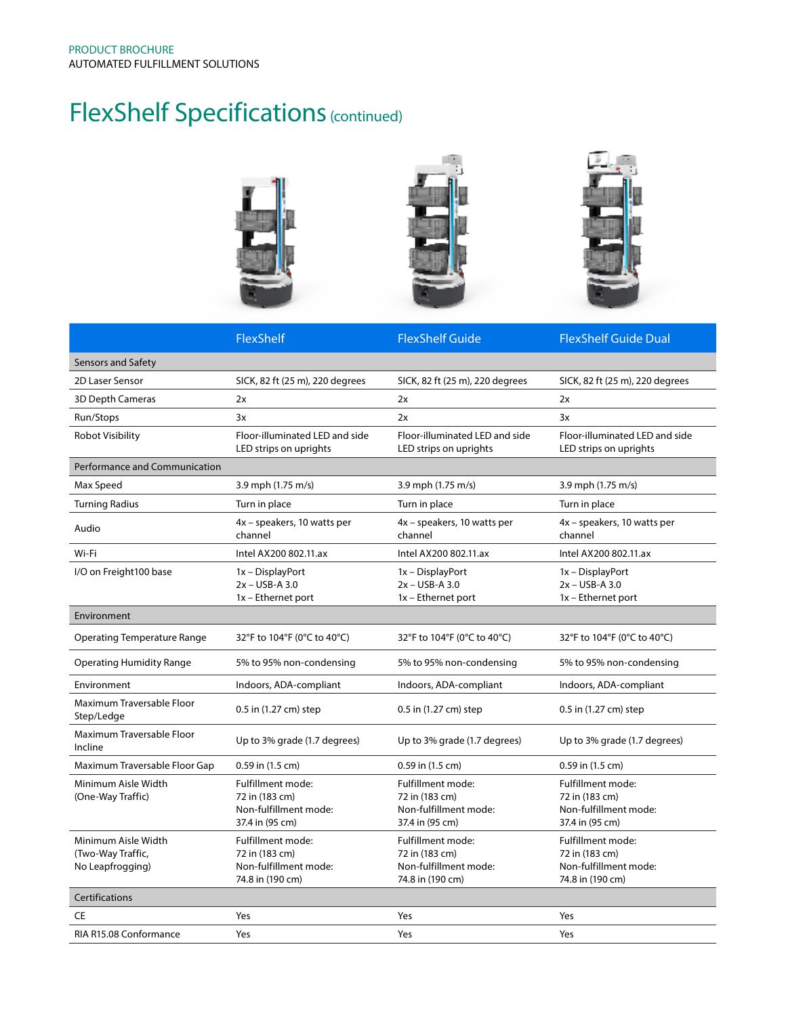## FlexShelf Specifications (continued)



|                                                              | FlexShelf                                                                        | <b>FlexShelf Guide</b>                                                           | <b>FlexShelf Guide Dual</b>                                                      |
|--------------------------------------------------------------|----------------------------------------------------------------------------------|----------------------------------------------------------------------------------|----------------------------------------------------------------------------------|
| Sensors and Safety                                           |                                                                                  |                                                                                  |                                                                                  |
| 2D Laser Sensor                                              | SICK, 82 ft (25 m), 220 degrees                                                  | SICK, 82 ft (25 m), 220 degrees                                                  | SICK, 82 ft (25 m), 220 degrees                                                  |
| <b>3D Depth Cameras</b>                                      | 2x                                                                               | 2x                                                                               | 2x                                                                               |
| Run/Stops                                                    | 3x                                                                               | 2x                                                                               | 3x                                                                               |
| Robot Visibility                                             | Floor-illuminated LED and side<br>LED strips on uprights                         | Floor-illuminated LED and side<br>LED strips on uprights                         | Floor-illuminated LED and side<br>LED strips on uprights                         |
| <b>Performance and Communication</b>                         |                                                                                  |                                                                                  |                                                                                  |
| Max Speed                                                    | 3.9 mph (1.75 m/s)                                                               | 3.9 mph (1.75 m/s)                                                               | 3.9 mph (1.75 m/s)                                                               |
| <b>Turning Radius</b>                                        | Turn in place                                                                    | Turn in place                                                                    | Turn in place                                                                    |
| Audio                                                        | 4x – speakers, 10 watts per<br>channel                                           | 4x – speakers, 10 watts per<br>channel                                           | 4x – speakers, 10 watts per<br>channel                                           |
| Wi-Fi                                                        | Intel AX200 802.11.ax                                                            | Intel AX200 802.11.ax                                                            | Intel AX200 802.11.ax                                                            |
| I/O on Freight100 base                                       | 1x - DisplayPort<br>$2x - USB-A3.0$<br>1x - Ethernet port                        | 1x - DisplayPort<br>$2x - USB-A3.0$<br>1x - Ethernet port                        | 1x - DisplayPort<br>$2x - USB-A3.0$<br>1x - Ethernet port                        |
| Environment                                                  |                                                                                  |                                                                                  |                                                                                  |
| <b>Operating Temperature Range</b>                           | 32°F to 104°F (0°C to 40°C)                                                      | 32°F to 104°F (0°C to 40°C)                                                      | 32°F to 104°F (0°C to 40°C)                                                      |
| <b>Operating Humidity Range</b>                              | 5% to 95% non-condensing                                                         | 5% to 95% non-condensing                                                         | 5% to 95% non-condensing                                                         |
| Environment                                                  | Indoors, ADA-compliant                                                           | Indoors, ADA-compliant                                                           | Indoors, ADA-compliant                                                           |
| Maximum Traversable Floor<br>Step/Ledge                      | 0.5 in (1.27 cm) step                                                            | 0.5 in (1.27 cm) step                                                            | 0.5 in (1.27 cm) step                                                            |
| Maximum Traversable Floor<br>Incline                         | Up to 3% grade (1.7 degrees)                                                     | Up to 3% grade (1.7 degrees)                                                     | Up to 3% grade (1.7 degrees)                                                     |
| Maximum Traversable Floor Gap                                | 0.59 in (1.5 cm)                                                                 | 0.59 in (1.5 cm)                                                                 | 0.59 in (1.5 cm)                                                                 |
| Minimum Aisle Width<br>(One-Way Traffic)                     | Fulfillment mode:<br>72 in (183 cm)<br>Non-fulfillment mode:<br>37.4 in (95 cm)  | Fulfillment mode:<br>72 in (183 cm)<br>Non-fulfillment mode:<br>37.4 in (95 cm)  | Fulfillment mode:<br>72 in (183 cm)<br>Non-fulfillment mode:<br>37.4 in (95 cm)  |
| Minimum Aisle Width<br>(Two-Way Traffic,<br>No Leapfrogging) | Fulfillment mode:<br>72 in (183 cm)<br>Non-fulfillment mode:<br>74.8 in (190 cm) | Fulfillment mode:<br>72 in (183 cm)<br>Non-fulfillment mode:<br>74.8 in (190 cm) | Fulfillment mode:<br>72 in (183 cm)<br>Non-fulfillment mode:<br>74.8 in (190 cm) |
| Certifications                                               |                                                                                  |                                                                                  |                                                                                  |
| <b>CE</b>                                                    | Yes                                                                              | Yes                                                                              | Yes                                                                              |
| RIA R15.08 Conformance                                       | Yes                                                                              | Yes                                                                              | Yes                                                                              |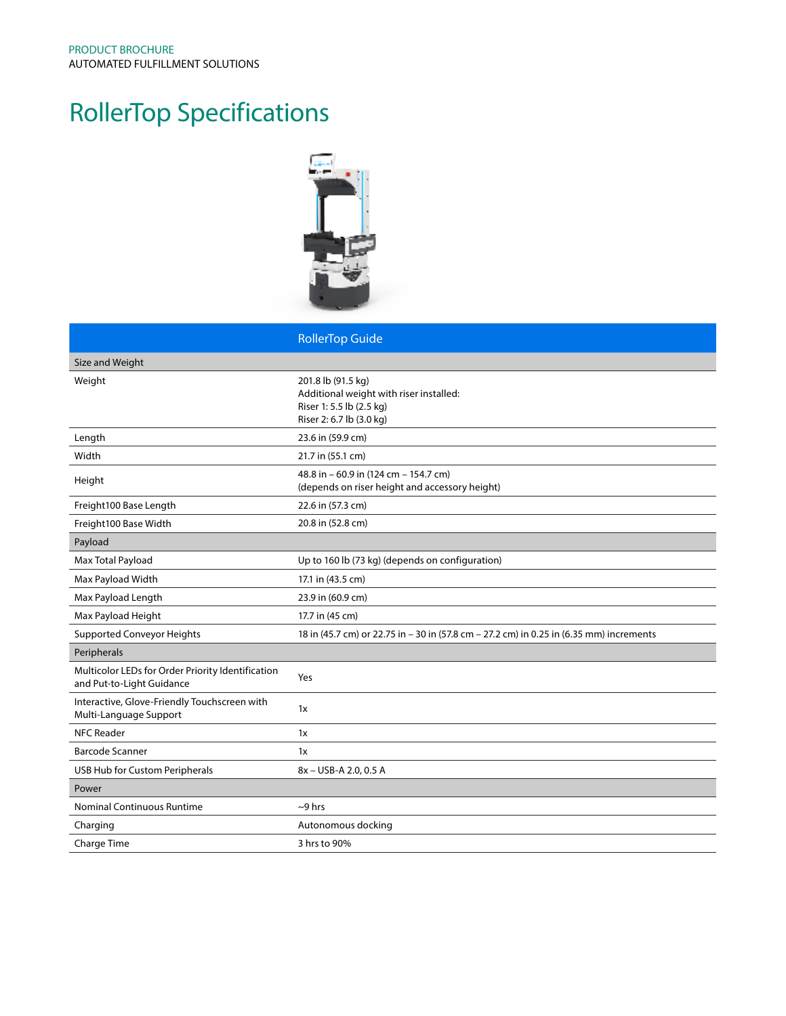## RollerTop Specifications



|                                                                                | <b>RollerTop Guide</b>                                                                                                |
|--------------------------------------------------------------------------------|-----------------------------------------------------------------------------------------------------------------------|
| Size and Weight                                                                |                                                                                                                       |
| Weight                                                                         | 201.8 lb (91.5 kg)<br>Additional weight with riser installed:<br>Riser 1: 5.5 lb (2.5 kg)<br>Riser 2: 6.7 lb (3.0 kg) |
| Length                                                                         | 23.6 in (59.9 cm)                                                                                                     |
| Width                                                                          | 21.7 in (55.1 cm)                                                                                                     |
| Height                                                                         | 48.8 in - 60.9 in (124 cm - 154.7 cm)<br>(depends on riser height and accessory height)                               |
| Freight100 Base Length                                                         | 22.6 in (57.3 cm)                                                                                                     |
| Freight100 Base Width                                                          | 20.8 in (52.8 cm)                                                                                                     |
| Payload                                                                        |                                                                                                                       |
| Max Total Payload                                                              | Up to 160 lb (73 kg) (depends on configuration)                                                                       |
| Max Payload Width                                                              | 17.1 in (43.5 cm)                                                                                                     |
| Max Payload Length                                                             | 23.9 in (60.9 cm)                                                                                                     |
| Max Payload Height                                                             | 17.7 in (45 cm)                                                                                                       |
| <b>Supported Conveyor Heights</b>                                              | 18 in (45.7 cm) or 22.75 in - 30 in (57.8 cm - 27.2 cm) in 0.25 in (6.35 mm) increments                               |
| Peripherals                                                                    |                                                                                                                       |
| Multicolor LEDs for Order Priority Identification<br>and Put-to-Light Guidance | Yes                                                                                                                   |
| Interactive, Glove-Friendly Touchscreen with<br>Multi-Language Support         | 1x                                                                                                                    |
| <b>NFC Reader</b>                                                              | 1x                                                                                                                    |
| <b>Barcode Scanner</b>                                                         | 1x                                                                                                                    |
| USB Hub for Custom Peripherals                                                 | 8x - USB-A 2.0, 0.5 A                                                                                                 |
| Power                                                                          |                                                                                                                       |
| Nominal Continuous Runtime                                                     | $\sim$ 9 hrs                                                                                                          |
| Charging                                                                       | Autonomous docking                                                                                                    |
| Charge Time                                                                    | 3 hrs to 90%                                                                                                          |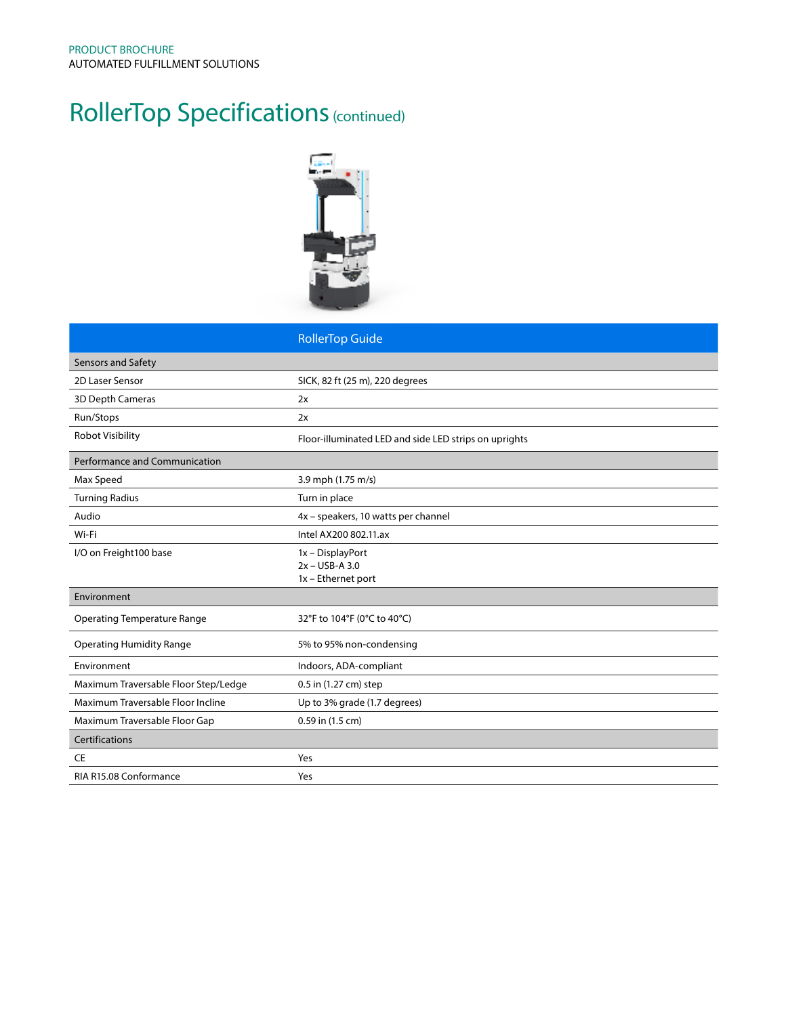### RollerTop Specifications (continued)



|                                      | <b>RollerTop Guide</b>                                |
|--------------------------------------|-------------------------------------------------------|
| <b>Sensors and Safety</b>            |                                                       |
| 2D Laser Sensor                      | SICK, 82 ft (25 m), 220 degrees                       |
| 3D Depth Cameras                     | 2x                                                    |
| Run/Stops                            | 2x                                                    |
| <b>Robot Visibility</b>              | Floor-illuminated LED and side LED strips on uprights |
| <b>Performance and Communication</b> |                                                       |
| Max Speed                            | 3.9 mph (1.75 m/s)                                    |
| <b>Turning Radius</b>                | Turn in place                                         |
| Audio                                | 4x - speakers, 10 watts per channel                   |
| Wi-Fi                                | Intel AX200 802.11.ax                                 |
| I/O on Freight100 base               | 1x - DisplayPort<br>$2x - USB-A3.0$                   |
|                                      | 1x - Ethernet port                                    |
| Environment                          |                                                       |
| <b>Operating Temperature Range</b>   | 32°F to 104°F (0°C to 40°C)                           |
| <b>Operating Humidity Range</b>      | 5% to 95% non-condensing                              |
| Environment                          | Indoors, ADA-compliant                                |
| Maximum Traversable Floor Step/Ledge | 0.5 in (1.27 cm) step                                 |
| Maximum Traversable Floor Incline    | Up to 3% grade (1.7 degrees)                          |
| Maximum Traversable Floor Gap        | 0.59 in (1.5 cm)                                      |
| Certifications                       |                                                       |
| <b>CE</b>                            | Yes                                                   |
| RIA R15.08 Conformance               | Yes                                                   |